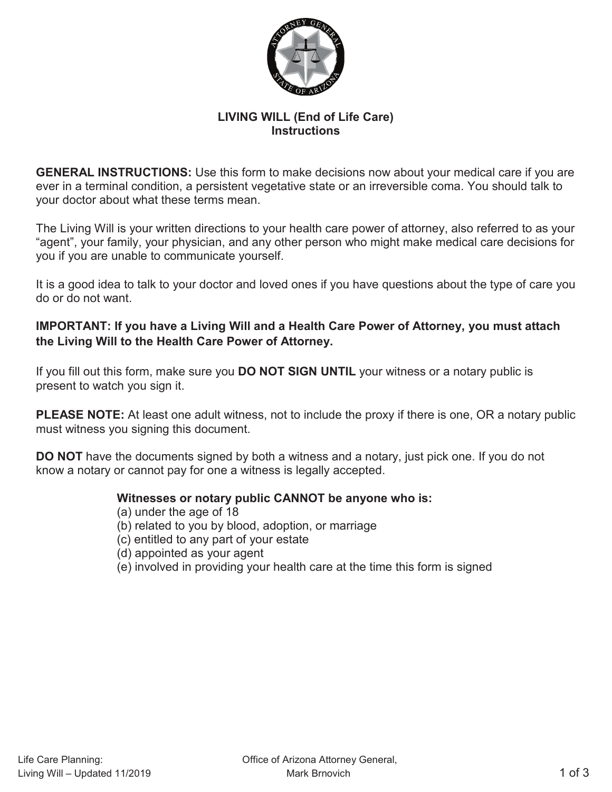

## **LIVING WILL (End of Life Care) Instructions**

**GENERAL INSTRUCTIONS:** Use this form to make decisions now about your medical care if you are ever in a terminal condition, a persistent vegetative state or an irreversible coma. You should talk to your doctor about what these terms mean.

The Living Will is your written directions to your health care power of attorney, also referred to as your "agent", your family, your physician, and any other person who might make medical care decisions for you if you are unable to communicate yourself.

It is a good idea to talk to your doctor and loved ones if you have questions about the type of care you do or do not want.

## **IMPORTANT: If you have a Living Will and a Health Care Power of Attorney, you must attach the Living Will to the Health Care Power of Attorney.**

If you fill out this form, make sure you **DO NOT SIGN UNTIL** your witness or a notary public is present to watch you sign it.

**PLEASE NOTE:** At least one adult witness, not to include the proxy if there is one, OR a notary public must witness you signing this document.

**DO NOT** have the documents signed by both a witness and a notary, just pick one. If you do not know a notary or cannot pay for one a witness is legally accepted.

### **Witnesses or notary public CANNOT be anyone who is:**

- (a) under the age of 18
- (b) related to you by blood, adoption, or marriage
- (c) entitled to any part of your estate
- (d) appointed as your agent
- (e) involved in providing your health care at the time this form is signed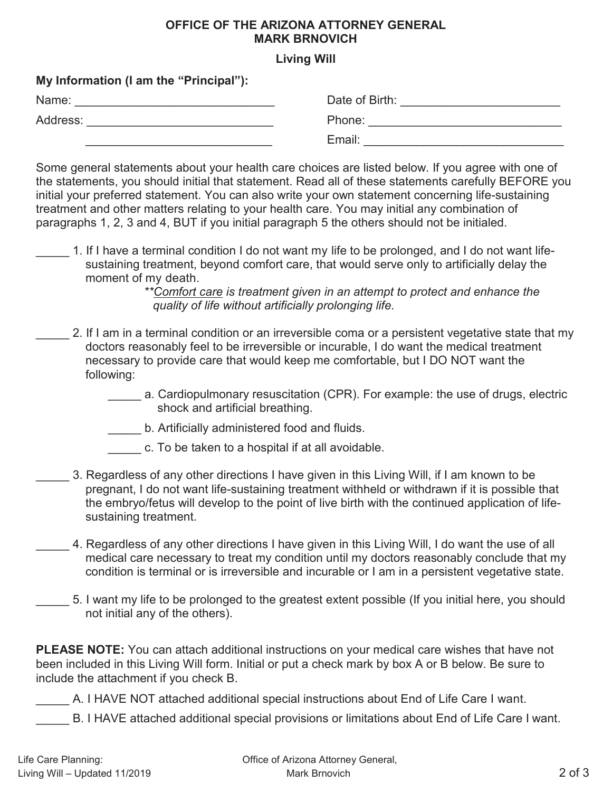## **OFFICE OF THE ARIZONA ATTORNEY GENERAL MARK BRNOVICH**

## **Living Will**

| <b>My Information (Fam the "Principal"):</b> |                |
|----------------------------------------------|----------------|
| Name:                                        | Date of Birth: |
| Address:                                     | Phone:         |
|                                              | Email:         |

Some general statements about your health care choices are listed below. If you agree with one of the statements, you should initial that statement. Read all of these statements carefully BEFORE you initial your preferred statement. You can also write your own statement concerning life-sustaining treatment and other matters relating to your health care. You may initial any combination of paragraphs 1, 2, 3 and 4, BUT if you initial paragraph 5 the others should not be initialed.

1. If I have a terminal condition I do not want my life to be prolonged, and I do not want lifesustaining treatment, beyond comfort care, that would serve only to artificially delay the moment of my death.

*\*\*Comfort care is treatment given in an attempt to protect and enhance the quality of life without artificially prolonging life.* 

- \_\_\_\_\_ 2. If I am in a terminal condition or an irreversible coma or a persistent vegetative state that my doctors reasonably feel to be irreversible or incurable, I do want the medical treatment necessary to provide care that would keep me comfortable, but I DO NOT want the following:
	- a. Cardiopulmonary resuscitation (CPR). For example: the use of drugs, electric shock and artificial breathing.
	- **LETT** b. Artificially administered food and fluids.

**My Information (I am the "Principal"):** 

- \_\_\_\_\_ c. To be taken to a hospital if at all avoidable.
- \_\_\_\_\_ 3. Regardless of any other directions I have given in this Living Will, if I am known to be pregnant, I do not want life-sustaining treatment withheld or withdrawn if it is possible that the embryo/fetus will develop to the point of live birth with the continued application of lifesustaining treatment.
- 4. Regardless of any other directions I have given in this Living Will, I do want the use of all medical care necessary to treat my condition until my doctors reasonably conclude that my condition is terminal or is irreversible and incurable or I am in a persistent vegetative state.
- \_\_\_\_\_ 5. I want my life to be prolonged to the greatest extent possible (If you initial here, you should not initial any of the others).

**PLEASE NOTE:** You can attach additional instructions on your medical care wishes that have not been included in this Living Will form. Initial or put a check mark by box A or B below. Be sure to include the attachment if you check B.

A. I HAVE NOT attached additional special instructions about End of Life Care I want.

B. I HAVE attached additional special provisions or limitations about End of Life Care I want.